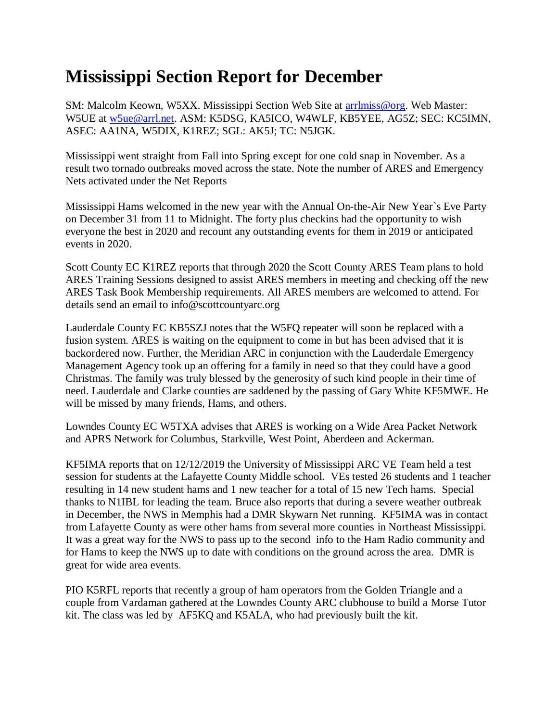## **Mississippi Section Report for December**

SM: Malcolm Keown, W5XX. Mississippi Section Web Site at [arrlmiss@org.](mailto:arrlmiss@org) Web Master: W5UE at [w5ue@arrl.net.](mailto:w5ue@arrl.net) ASM: K5DSG, KA5ICO, W4WLF, KB5YEE, AG5Z; SEC: KC5IMN, ASEC: AA1NA, W5DIX, K1REZ; SGL: AK5J; TC: N5JGK.

Mississippi went straight from Fall into Spring except for one cold snap in November. As a result two tornado outbreaks moved across the state. Note the number of ARES and Emergency Nets activated under the Net Reports

Mississippi Hams welcomed in the new year with the Annual On-the-Air New Year`s Eve Party on December 31 from 11 to Midnight. The forty plus checkins had the opportunity to wish everyone the best in 2020 and recount any outstanding events for them in 2019 or anticipated events in 2020.

Scott County EC K1REZ reports that through 2020 the Scott County ARES Team plans to hold ARES Training Sessions designed to assist ARES members in meeting and checking off the new ARES Task Book Membership requirements. All ARES members are welcomed to attend. For details send an email to info@scottcountyarc.org

Lauderdale County EC KB5SZJ notes that the W5FQ repeater will soon be replaced with a fusion system. ARES is waiting on the equipment to come in but has been advised that it is backordered now. Further, the Meridian ARC in conjunction with the Lauderdale Emergency Management Agency took up an offering for a family in need so that they could have a good Christmas. The family was truly blessed by the generosity of such kind people in their time of need. Lauderdale and Clarke counties are saddened by the passing of Gary White KF5MWE. He will be missed by many friends, Hams, and others.

Lowndes County EC W5TXA advises that ARES is working on a Wide Area Packet Network and APRS Network for Columbus, Starkville, West Point, Aberdeen and Ackerman.

KF5IMA reports that on 12/12/2019 the University of Mississippi ARC VE Team held a test session for students at the Lafayette County Middle school. VEs tested 26 students and 1 teacher resulting in 14 new student hams and 1 new teacher for a total of 15 new Tech hams. Special thanks to N1IBL for leading the team. Bruce also reports that during a severe weather outbreak in December, the NWS in Memphis had a DMR Skywarn Net running. KF5IMA was in contact from Lafayette County as were other hams from several more counties in Northeast Mississippi. It was a great way for the NWS to pass up to the second info to the Ham Radio community and for Hams to keep the NWS up to date with conditions on the ground across the area. DMR is great for wide area events.

PIO K5RFL reports that recently a group of ham operators from the Golden Triangle and a couple from Vardaman gathered at the Lowndes County ARC clubhouse to build a Morse Tutor kit. The class was led by AF5KQ and K5ALA, who had previously built the kit.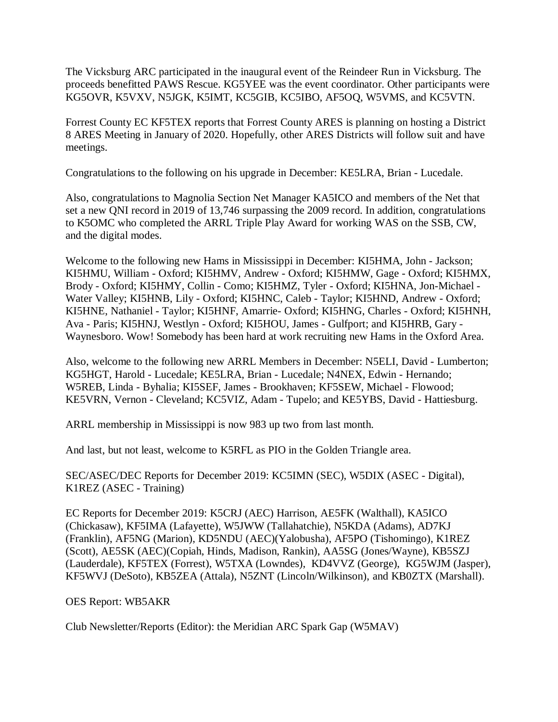The Vicksburg ARC participated in the inaugural event of the Reindeer Run in Vicksburg. The proceeds benefitted PAWS Rescue. KG5YEE was the event coordinator. Other participants were KG5OVR, K5VXV, N5JGK, K5IMT, KC5GIB, KC5IBO, AF5OQ, W5VMS, and KC5VTN.

Forrest County EC KF5TEX reports that Forrest County ARES is planning on hosting a District 8 ARES Meeting in January of 2020. Hopefully, other ARES Districts will follow suit and have meetings.

Congratulations to the following on his upgrade in December: KE5LRA, Brian - Lucedale.

Also, congratulations to Magnolia Section Net Manager KA5ICO and members of the Net that set a new QNI record in 2019 of 13,746 surpassing the 2009 record. In addition, congratulations to K5OMC who completed the ARRL Triple Play Award for working WAS on the SSB, CW, and the digital modes.

Welcome to the following new Hams in Mississippi in December: KI5HMA, John - Jackson; KI5HMU, William - Oxford; KI5HMV, Andrew - Oxford; KI5HMW, Gage - Oxford; KI5HMX, Brody - Oxford; KI5HMY, Collin - Como; KI5HMZ, Tyler - Oxford; KI5HNA, Jon-Michael - Water Valley; KI5HNB, Lily - Oxford; KI5HNC, Caleb - Taylor; KI5HND, Andrew - Oxford; KI5HNE, Nathaniel - Taylor; KI5HNF, Amarrie- Oxford; KI5HNG, Charles - Oxford; KI5HNH, Ava - Paris; KI5HNJ, Westlyn - Oxford; KI5HOU, James - Gulfport; and KI5HRB, Gary - Waynesboro. Wow! Somebody has been hard at work recruiting new Hams in the Oxford Area.

Also, welcome to the following new ARRL Members in December: N5ELI, David - Lumberton; KG5HGT, Harold - Lucedale; KE5LRA, Brian - Lucedale; N4NEX, Edwin - Hernando; W5REB, Linda - Byhalia; KI5SEF, James - Brookhaven; KF5SEW, Michael - Flowood; KE5VRN, Vernon - Cleveland; KC5VIZ, Adam - Tupelo; and KE5YBS, David - Hattiesburg.

ARRL membership in Mississippi is now 983 up two from last month.

And last, but not least, welcome to K5RFL as PIO in the Golden Triangle area.

SEC/ASEC/DEC Reports for December 2019: KC5IMN (SEC), W5DIX (ASEC - Digital), K1REZ (ASEC - Training)

EC Reports for December 2019: K5CRJ (AEC) Harrison, AE5FK (Walthall), KA5ICO (Chickasaw), KF5IMA (Lafayette), W5JWW (Tallahatchie), N5KDA (Adams), AD7KJ (Franklin), AF5NG (Marion), KD5NDU (AEC)(Yalobusha), AF5PO (Tishomingo), K1REZ (Scott), AE5SK (AEC)(Copiah, Hinds, Madison, Rankin), AA5SG (Jones/Wayne), KB5SZJ (Lauderdale), KF5TEX (Forrest), W5TXA (Lowndes), KD4VVZ (George), KG5WJM (Jasper), KF5WVJ (DeSoto), KB5ZEA (Attala), N5ZNT (Lincoln/Wilkinson), and KB0ZTX (Marshall).

## OES Report: WB5AKR

Club Newsletter/Reports (Editor): the Meridian ARC Spark Gap (W5MAV)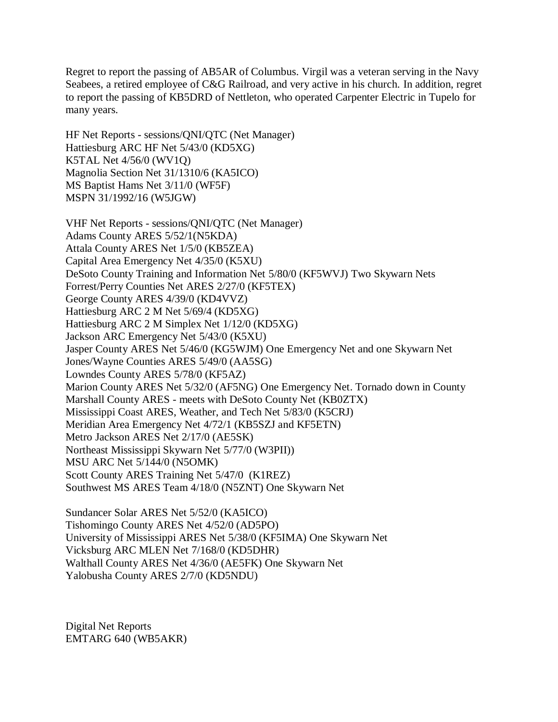Regret to report the passing of AB5AR of Columbus. Virgil was a veteran serving in the Navy Seabees, a retired employee of C&G Railroad, and very active in his church. In addition, regret to report the passing of KB5DRD of Nettleton, who operated Carpenter Electric in Tupelo for many years.

HF Net Reports - sessions/QNI/QTC (Net Manager) Hattiesburg ARC HF Net 5/43/0 (KD5XG) K5TAL Net 4/56/0 (WV1Q) Magnolia Section Net 31/1310/6 (KA5ICO) MS Baptist Hams Net 3/11/0 (WF5F) MSPN 31/1992/16 (W5JGW)

VHF Net Reports - sessions/QNI/QTC (Net Manager) Adams County ARES 5/52/1(N5KDA) Attala County ARES Net 1/5/0 (KB5ZEA) Capital Area Emergency Net 4/35/0 (K5XU) DeSoto County Training and Information Net 5/80/0 (KF5WVJ) Two Skywarn Nets Forrest/Perry Counties Net ARES 2/27/0 (KF5TEX) George County ARES 4/39/0 (KD4VVZ) Hattiesburg ARC 2 M Net 5/69/4 (KD5XG) Hattiesburg ARC 2 M Simplex Net 1/12/0 (KD5XG) Jackson ARC Emergency Net 5/43/0 (K5XU) Jasper County ARES Net 5/46/0 (KG5WJM) One Emergency Net and one Skywarn Net Jones/Wayne Counties ARES 5/49/0 (AA5SG) Lowndes County ARES 5/78/0 (KF5AZ) Marion County ARES Net 5/32/0 (AF5NG) One Emergency Net. Tornado down in County Marshall County ARES - meets with DeSoto County Net (KB0ZTX) Mississippi Coast ARES, Weather, and Tech Net 5/83/0 (K5CRJ) Meridian Area Emergency Net 4/72/1 (KB5SZJ and KF5ETN) Metro Jackson ARES Net 2/17/0 (AE5SK) Northeast Mississippi Skywarn Net 5/77/0 (W3PII)) MSU ARC Net 5/144/0 (N5OMK) Scott County ARES Training Net 5/47/0 (K1REZ) Southwest MS ARES Team 4/18/0 (N5ZNT) One Skywarn Net

Sundancer Solar ARES Net 5/52/0 (KA5ICO) Tishomingo County ARES Net 4/52/0 (AD5PO) University of Mississippi ARES Net 5/38/0 (KF5IMA) One Skywarn Net Vicksburg ARC MLEN Net 7/168/0 (KD5DHR) Walthall County ARES Net 4/36/0 (AE5FK) One Skywarn Net Yalobusha County ARES 2/7/0 (KD5NDU)

Digital Net Reports EMTARG 640 (WB5AKR)